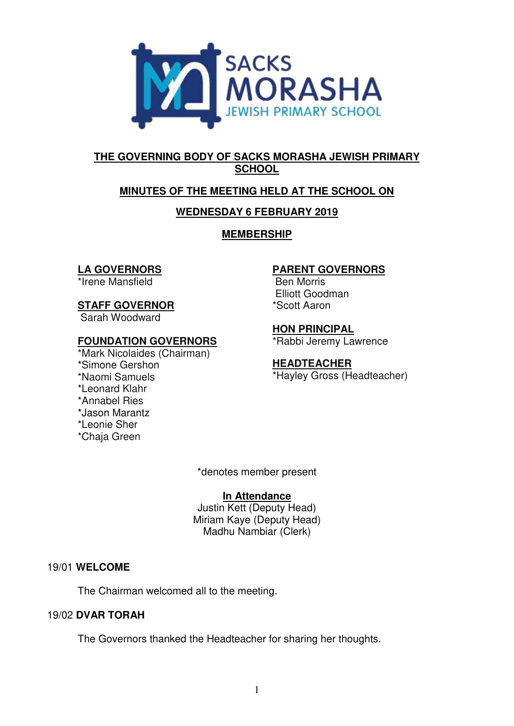

# **THE GOVERNING BODY OF SACKS MORASHA JEWISH PRIMARY SCHOOL**

# **MINUTES OF THE MEETING HELD AT THE SCHOOL ON**

# **WEDNESDAY 6 FEBRUARY 2019**

**MEMBERSHIP** 

# **LA GOVERNORS**

\*Irene Mansfield

# **STAFF GOVERNOR**

Sarah Woodward

# **FOUNDATION GOVERNORS**

\*Mark Nicolaides (Chairman) \*Simone Gershon \*Naomi Samuels \*Leonard Klahr \*Annabel Ries \*Jason Marantz \*Leonie Sher \*Chaja Green

## **PARENT GOVERNORS**

 Ben Morris Elliott Goodman \*Scott Aaron

**HON PRINCIPAL**  \*Rabbi Jeremy Lawrence

### **HEADTEACHER**  \*Hayley Gross (Headteacher)

\*denotes member present

#### **In Attendance**

Justin Kett (Deputy Head) Miriam Kaye (Deputy Head) Madhu Nambiar (Clerk)

# 19/01 **WELCOME**

The Chairman welcomed all to the meeting.

# 19/02 **DVAR TORAH**

The Governors thanked the Headteacher for sharing her thoughts.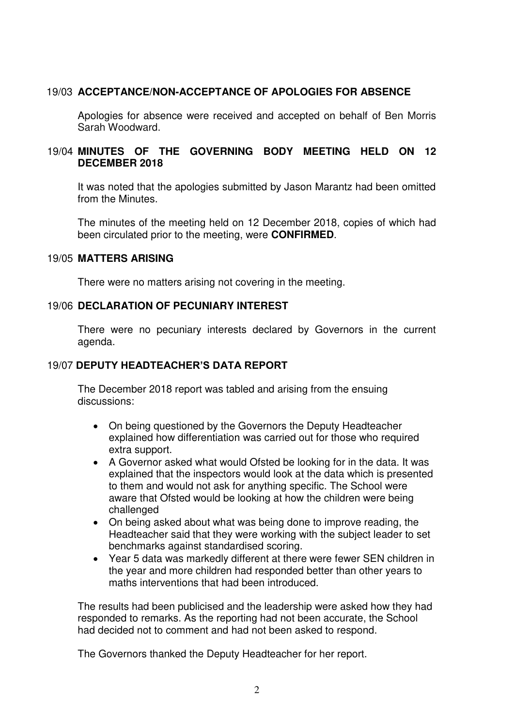#### 19/03 **ACCEPTANCE/NON-ACCEPTANCE OF APOLOGIES FOR ABSENCE**

Apologies for absence were received and accepted on behalf of Ben Morris Sarah Woodward.

## 19/04 **MINUTES OF THE GOVERNING BODY MEETING HELD ON 12 DECEMBER 2018**

It was noted that the apologies submitted by Jason Marantz had been omitted from the Minutes.

The minutes of the meeting held on 12 December 2018, copies of which had been circulated prior to the meeting, were **CONFIRMED**.

#### 19/05 **MATTERS ARISING**

There were no matters arising not covering in the meeting.

#### 19/06 **DECLARATION OF PECUNIARY INTEREST**

There were no pecuniary interests declared by Governors in the current agenda.

#### 19/07 **DEPUTY HEADTEACHER'S DATA REPORT**

 The December 2018 report was tabled and arising from the ensuing discussions:

- On being questioned by the Governors the Deputy Headteacher explained how differentiation was carried out for those who required extra support.
- A Governor asked what would Ofsted be looking for in the data. It was explained that the inspectors would look at the data which is presented to them and would not ask for anything specific. The School were aware that Ofsted would be looking at how the children were being challenged
- On being asked about what was being done to improve reading, the Headteacher said that they were working with the subject leader to set benchmarks against standardised scoring.
- Year 5 data was markedly different at there were fewer SEN children in the year and more children had responded better than other years to maths interventions that had been introduced.

The results had been publicised and the leadership were asked how they had responded to remarks. As the reporting had not been accurate, the School had decided not to comment and had not been asked to respond.

The Governors thanked the Deputy Headteacher for her report.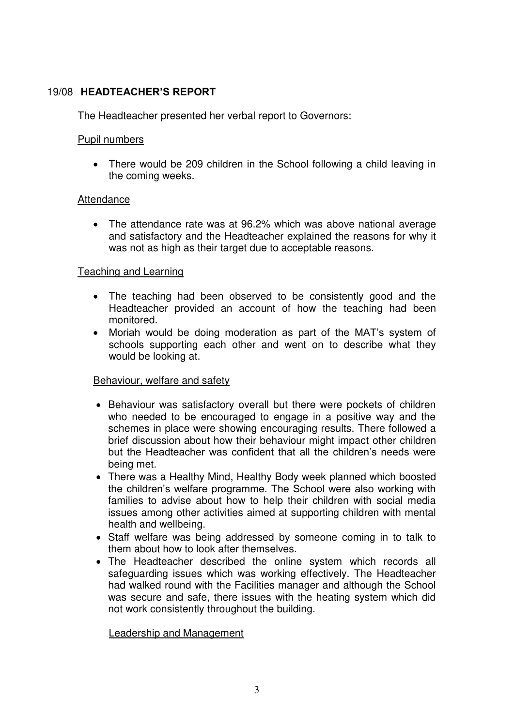## 19/08 **HEADTEACHER'S REPORT**

The Headteacher presented her verbal report to Governors:

#### Pupil numbers

• There would be 209 children in the School following a child leaving in the coming weeks.

#### **Attendance**

 The attendance rate was at 96.2% which was above national average and satisfactory and the Headteacher explained the reasons for why it was not as high as their target due to acceptable reasons.

## Teaching and Learning

- The teaching had been observed to be consistently good and the Headteacher provided an account of how the teaching had been monitored.
- Moriah would be doing moderation as part of the MAT's system of schools supporting each other and went on to describe what they would be looking at.

#### Behaviour, welfare and safety

- Behaviour was satisfactory overall but there were pockets of children who needed to be encouraged to engage in a positive way and the schemes in place were showing encouraging results. There followed a brief discussion about how their behaviour might impact other children but the Headteacher was confident that all the children's needs were being met.
- There was a Healthy Mind, Healthy Body week planned which boosted the children's welfare programme. The School were also working with families to advise about how to help their children with social media issues among other activities aimed at supporting children with mental health and wellbeing.
- Staff welfare was being addressed by someone coming in to talk to them about how to look after themselves.
- The Headteacher described the online system which records all safeguarding issues which was working effectively. The Headteacher had walked round with the Facilities manager and although the School was secure and safe, there issues with the heating system which did not work consistently throughout the building.

#### Leadership and Management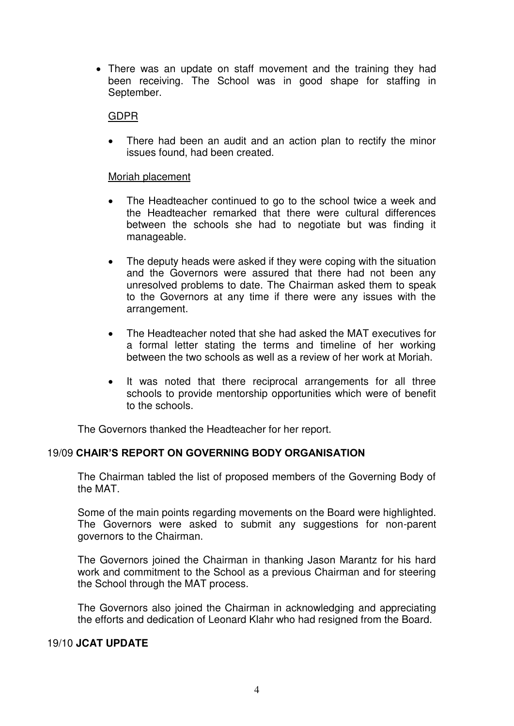There was an update on staff movement and the training they had been receiving. The School was in good shape for staffing in September.

## GDPR

 There had been an audit and an action plan to rectify the minor issues found, had been created.

#### Moriah placement

- The Headteacher continued to go to the school twice a week and the Headteacher remarked that there were cultural differences between the schools she had to negotiate but was finding it manageable.
- The deputy heads were asked if they were coping with the situation and the Governors were assured that there had not been any unresolved problems to date. The Chairman asked them to speak to the Governors at any time if there were any issues with the arrangement.
- The Headteacher noted that she had asked the MAT executives for a formal letter stating the terms and timeline of her working between the two schools as well as a review of her work at Moriah.
- It was noted that there reciprocal arrangements for all three schools to provide mentorship opportunities which were of benefit to the schools.

The Governors thanked the Headteacher for her report.

#### 19/09 **CHAIR'S REPORT ON GOVERNING BODY ORGANISATION**

 The Chairman tabled the list of proposed members of the Governing Body of the MAT.

 Some of the main points regarding movements on the Board were highlighted. The Governors were asked to submit any suggestions for non-parent governors to the Chairman.

 The Governors joined the Chairman in thanking Jason Marantz for his hard work and commitment to the School as a previous Chairman and for steering the School through the MAT process.

 The Governors also joined the Chairman in acknowledging and appreciating the efforts and dedication of Leonard Klahr who had resigned from the Board.

## 19/10 **JCAT UPDATE**